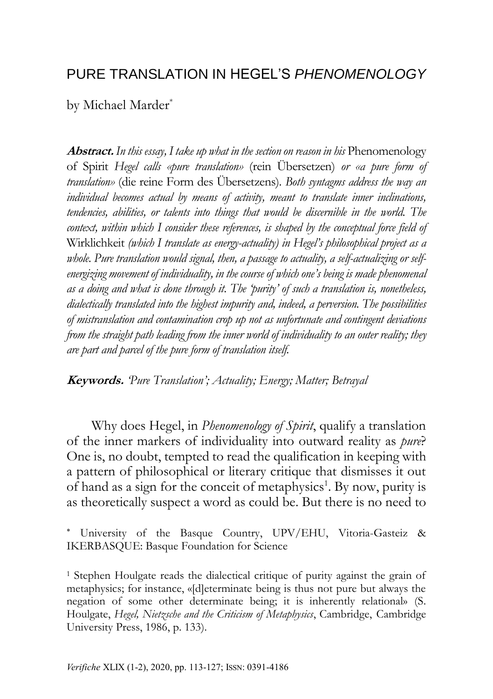## PURE TRANSLATION IN HEGEL'S *PHENOMENOLOGY*

by Michael Marder\*

**Abstract.** *In this essay, I take up what in the section on reason in his* Phenomenology of Spirit *Hegel calls «pure translation»* (rein Übersetzen) *or «a pure form of translation»* (die reine Form des Übersetzens)*. Both syntagms address the way an individual becomes actual by means of activity, meant to translate inner inclinations, tendencies, abilities, or talents into things that would be discernible in the world. The context, within which I consider these references, is shaped by the conceptual force field of* Wirklichkeit *(which I translate as energy-actuality) in Hegel's philosophical project as a whole. Pure translation would signal, then, a passage to actuality, a self-actualizing or selfenergizing movement of individuality, in the course of which one's being is made phenomenal as a doing and what is done through it. The 'purity' of such a translation is, nonetheless, dialectically translated into the highest impurity and, indeed, a perversion. The possibilities of mistranslation and contamination crop up not as unfortunate and contingent deviations from the straight path leading from the inner world of individuality to an outer reality; they are part and parcel of the pure form of translation itself.*

**Keywords.** *'Pure Translation'; Actuality; Energy; Matter; Betrayal*

Why does Hegel, in *Phenomenology of Spirit*, qualify a translation of the inner markers of individuality into outward reality as *pure*? One is, no doubt, tempted to read the qualification in keeping with a pattern of philosophical or literary critique that dismisses it out of hand as a sign for the conceit of metaphysics<sup>1</sup>. By now, purity is as theoretically suspect a word as could be. But there is no need to

 University of the Basque Country, UPV/EHU, Vitoria-Gasteiz & IKERBASQUE: Basque Foundation for Science

<sup>1</sup> Stephen Houlgate reads the dialectical critique of purity against the grain of metaphysics; for instance, «[d]eterminate being is thus not pure but always the negation of some other determinate being; it is inherently relational» (S. Houlgate, *Hegel, Nietzsche and the Criticism of Metaphysics*, Cambridge, Cambridge University Press, 1986, p. 133).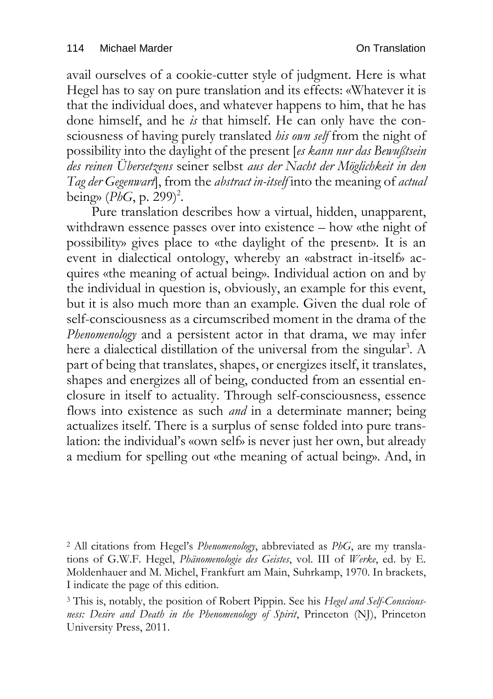avail ourselves of a cookie-cutter style of judgment. Here is what Hegel has to say on pure translation and its effects: «Whatever it is that the individual does, and whatever happens to him, that he has done himself, and he *is* that himself. He can only have the consciousness of having purely translated *his own self* from the night of possibility into the daylight of the present [*es kann nur das Bewußtsein des reinen Übersetzens* seiner selbst *aus der Nacht der Möglichkeit in den Tag der Gegenwart*], from the *abstract in-itself* into the meaning of *actual*  being» (*PhG*, p. 299) 2 .

Pure translation describes how a virtual, hidden, unapparent, withdrawn essence passes over into existence – how «the night of possibility» gives place to «the daylight of the present». It is an event in dialectical ontology, whereby an «abstract in-itself» acquires «the meaning of actual being». Individual action on and by the individual in question is, obviously, an example for this event, but it is also much more than an example. Given the dual role of self-consciousness as a circumscribed moment in the drama of the *Phenomenology* and a persistent actor in that drama, we may infer here a dialectical distillation of the universal from the singular<sup>3</sup>. A part of being that translates, shapes, or energizes itself, it translates, shapes and energizes all of being, conducted from an essential enclosure in itself to actuality. Through self-consciousness, essence flows into existence as such *and* in a determinate manner; being actualizes itself. There is a surplus of sense folded into pure translation: the individual's «own self» is never just her own, but already a medium for spelling out «the meaning of actual being». And, in

<sup>2</sup> All citations from Hegel's *Phenomenology*, abbreviated as *PhG*, are my translations of G.W.F. Hegel, *Phänomenologie des Geistes*, vol. III of *Werke*, ed. by E. Moldenhauer and M. Michel, Frankfurt am Main, Suhrkamp, 1970. In brackets, I indicate the page of this edition.

<sup>3</sup> This is, notably, the position of Robert Pippin. See his *Hegel and Self-Consciousness: Desire and Death in the Phenomenology of Spirit*, Princeton (NJ), Princeton University Press, 2011.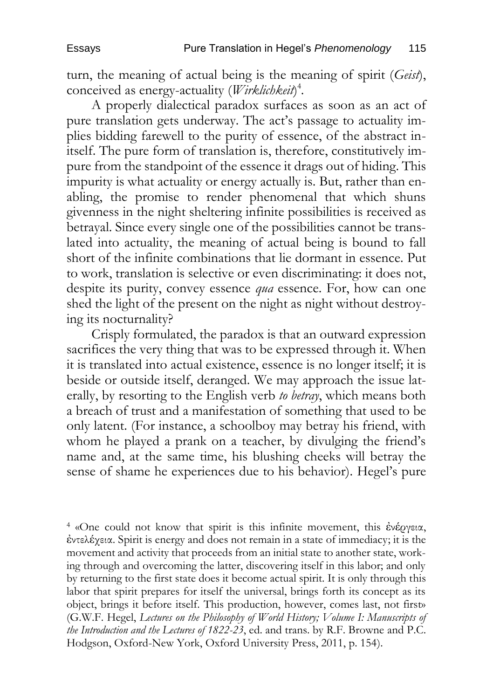turn, the meaning of actual being is the meaning of spirit (*Geist*), conceived as energy-actuality (*Wirklichkeit*) 4 *.*

A properly dialectical paradox surfaces as soon as an act of pure translation gets underway. The act's passage to actuality implies bidding farewell to the purity of essence, of the abstract initself. The pure form of translation is, therefore, constitutively impure from the standpoint of the essence it drags out of hiding. This impurity is what actuality or energy actually is. But, rather than enabling, the promise to render phenomenal that which shuns givenness in the night sheltering infinite possibilities is received as betrayal. Since every single one of the possibilities cannot be translated into actuality, the meaning of actual being is bound to fall short of the infinite combinations that lie dormant in essence. Put to work, translation is selective or even discriminating: it does not, despite its purity, convey essence *qua* essence. For, how can one shed the light of the present on the night as night without destroying its nocturnality?

Crisply formulated, the paradox is that an outward expression sacrifices the very thing that was to be expressed through it. When it is translated into actual existence, essence is no longer itself; it is beside or outside itself, deranged. We may approach the issue laterally, by resorting to the English verb *to betray*, which means both a breach of trust and a manifestation of something that used to be only latent. (For instance, a schoolboy may betray his friend, with whom he played a prank on a teacher, by divulging the friend's name and, at the same time, his blushing cheeks will betray the sense of shame he experiences due to his behavior). Hegel's pure

<sup>4</sup> «One could not know that spirit is this infinite movement, this ἐνέργεια, ἐντελέχεια. Spirit is energy and does not remain in a state of immediacy; it is the movement and activity that proceeds from an initial state to another state, working through and overcoming the latter, discovering itself in this labor; and only by returning to the first state does it become actual spirit. It is only through this labor that spirit prepares for itself the universal, brings forth its concept as its object, brings it before itself. This production, however, comes last, not first» (G.W.F. Hegel, *Lectures on the Philosophy of World History; Volume I: Manuscripts of the Introduction and the Lectures of 1822-23*, ed. and trans. by R.F. Browne and P.C. Hodgson, Oxford-New York, Oxford University Press, 2011, p. 154).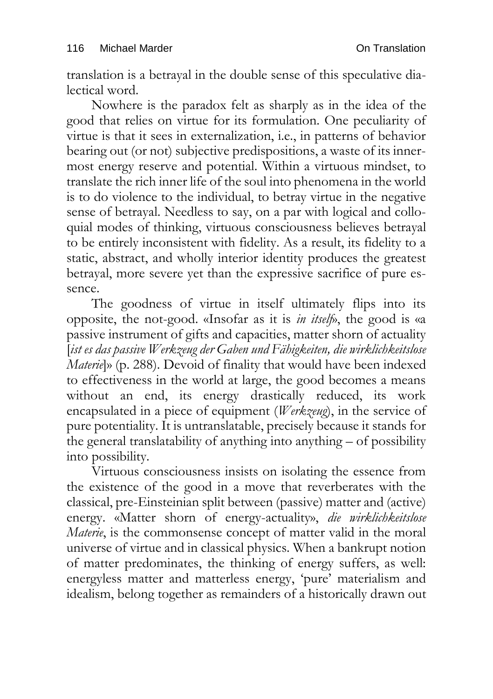translation is a betrayal in the double sense of this speculative dialectical word.

Nowhere is the paradox felt as sharply as in the idea of the good that relies on virtue for its formulation. One peculiarity of virtue is that it sees in externalization, i.e., in patterns of behavior bearing out (or not) subjective predispositions, a waste of its innermost energy reserve and potential. Within a virtuous mindset, to translate the rich inner life of the soul into phenomena in the world is to do violence to the individual, to betray virtue in the negative sense of betrayal. Needless to say, on a par with logical and colloquial modes of thinking, virtuous consciousness believes betrayal to be entirely inconsistent with fidelity. As a result, its fidelity to a static, abstract, and wholly interior identity produces the greatest betrayal, more severe yet than the expressive sacrifice of pure essence.

The goodness of virtue in itself ultimately flips into its opposite, the not-good. «Insofar as it is *in itself*», the good is «a passive instrument of gifts and capacities, matter shorn of actuality [*ist es das passive Werkzeug der Gaben und Fähigkeiten, die wirklichkeitslose Materie*]» (p. 288). Devoid of finality that would have been indexed to effectiveness in the world at large, the good becomes a means without an end, its energy drastically reduced, its work encapsulated in a piece of equipment (*Werkzeug*), in the service of pure potentiality. It is untranslatable, precisely because it stands for the general translatability of anything into anything – of possibility into possibility.

Virtuous consciousness insists on isolating the essence from the existence of the good in a move that reverberates with the classical, pre-Einsteinian split between (passive) matter and (active) energy. «Matter shorn of energy-actuality», *die wirklichkeitslose Materie*, is the commonsense concept of matter valid in the moral universe of virtue and in classical physics. When a bankrupt notion of matter predominates, the thinking of energy suffers, as well: energyless matter and matterless energy, 'pure' materialism and idealism, belong together as remainders of a historically drawn out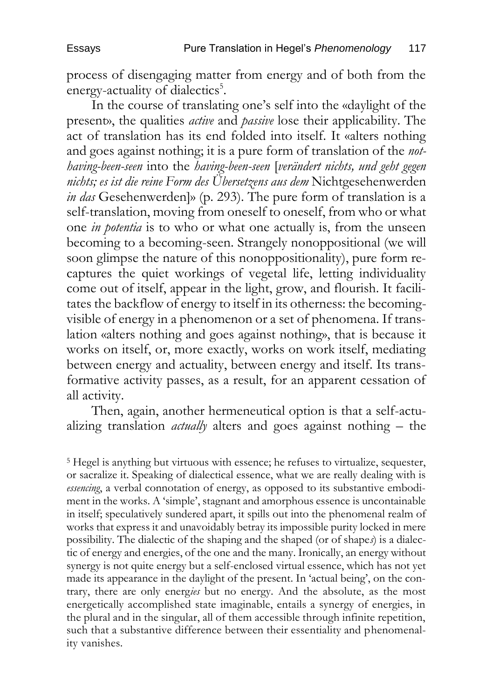process of disengaging matter from energy and of both from the energy-actuality of dialectics<sup>5</sup>.

In the course of translating one's self into the «daylight of the present», the qualities *active* and *passive* lose their applicability. The act of translation has its end folded into itself. It «alters nothing and goes against nothing; it is a pure form of translation of the *nothaving-been-seen* into the *having-been-seen* [*verändert nichts, und geht gegen nichts; es ist die reine Form des Übersetzens aus dem* Nichtgesehenwerden *in das* Gesehenwerden]» (p. 293). The pure form of translation is a self-translation, moving from oneself to oneself, from who or what one *in potentia* is to who or what one actually is, from the unseen becoming to a becoming-seen. Strangely nonoppositional (we will soon glimpse the nature of this nonoppositionality), pure form recaptures the quiet workings of vegetal life, letting individuality come out of itself, appear in the light, grow, and flourish. It facilitates the backflow of energy to itself in its otherness: the becomingvisible of energy in a phenomenon or a set of phenomena. If translation «alters nothing and goes against nothing», that is because it works on itself, or, more exactly, works on work itself, mediating between energy and actuality, between energy and itself. Its transformative activity passes, as a result, for an apparent cessation of all activity.

Then, again, another hermeneutical option is that a self-actualizing translation *actually* alters and goes against nothing – the

<sup>5</sup> Hegel is anything but virtuous with essence; he refuses to virtualize, sequester, or sacralize it. Speaking of dialectical essence, what we are really dealing with is *essencing*, a verbal connotation of energy, as opposed to its substantive embodiment in the works. A 'simple', stagnant and amorphous essence is uncontainable in itself; speculatively sundered apart, it spills out into the phenomenal realm of works that express it and unavoidably betray its impossible purity locked in mere possibility. The dialectic of the shaping and the shaped (or of shape*s*) is a dialectic of energy and energies, of the one and the many. Ironically, an energy without synergy is not quite energy but a self-enclosed virtual essence, which has not yet made its appearance in the daylight of the present. In 'actual being', on the contrary, there are only energ*ies* but no energy. And the absolute, as the most energetically accomplished state imaginable, entails a synergy of energies, in the plural and in the singular, all of them accessible through infinite repetition, such that a substantive difference between their essentiality and phenomenality vanishes.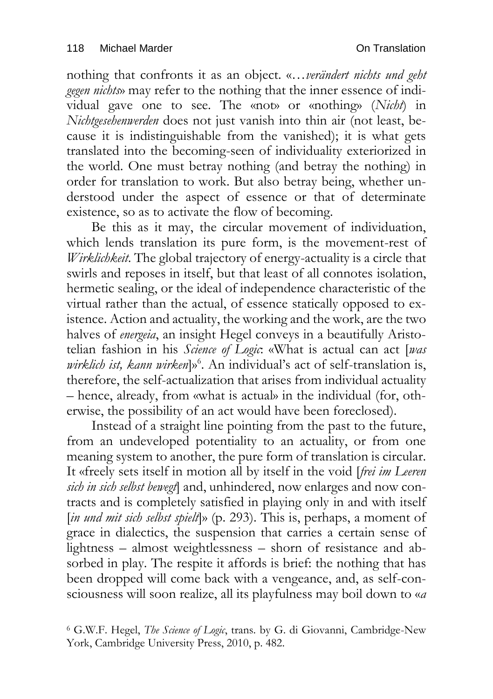nothing that confronts it as an object. «…*verändert nichts und geht gegen nichts*» may refer to the nothing that the inner essence of individual gave one to see. The «not» or «nothing» (*Nicht*) in *Nichtgesehenwerden* does not just vanish into thin air (not least, because it is indistinguishable from the vanished); it is what gets translated into the becoming-seen of individuality exteriorized in the world. One must betray nothing (and betray the nothing) in order for translation to work. But also betray being, whether understood under the aspect of essence or that of determinate existence, so as to activate the flow of becoming.

Be this as it may, the circular movement of individuation, which lends translation its pure form, is the movement-rest of *Wirklichkeit*. The global trajectory of energy-actuality is a circle that swirls and reposes in itself, but that least of all connotes isolation, hermetic sealing, or the ideal of independence characteristic of the virtual rather than the actual, of essence statically opposed to existence. Action and actuality, the working and the work, are the two halves of *energeia*, an insight Hegel conveys in a beautifully Aristotelian fashion in his *Science of Logic*: «What is actual can act [*was wirklich ist, kann wirken*]» 6 . An individual's act of self-translation is, therefore, the self-actualization that arises from individual actuality – hence, already, from «what is actual» in the individual (for, otherwise, the possibility of an act would have been foreclosed).

Instead of a straight line pointing from the past to the future, from an undeveloped potentiality to an actuality, or from one meaning system to another, the pure form of translation is circular. It «freely sets itself in motion all by itself in the void [*frei im Leeren sich in sich selbst bewegt*] and, unhindered, now enlarges and now contracts and is completely satisfied in playing only in and with itself [*in und mit sich selbst spielt*]» (p. 293). This is, perhaps, a moment of grace in dialectics, the suspension that carries a certain sense of lightness – almost weightlessness – shorn of resistance and absorbed in play. The respite it affords is brief: the nothing that has been dropped will come back with a vengeance, and, as self-consciousness will soon realize, all its playfulness may boil down to «*a* 

<sup>6</sup> G.W.F. Hegel, *The Science of Logic*, trans. by G. di Giovanni, Cambridge-New York, Cambridge University Press, 2010, p. 482.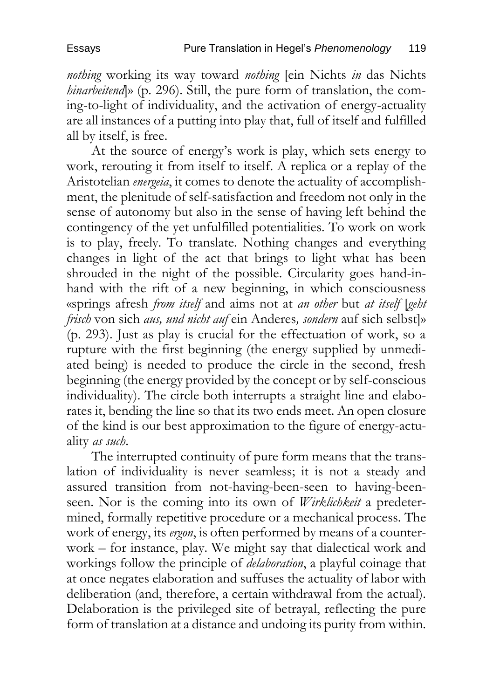*nothing* working its way toward *nothing* [ein Nichts *in* das Nichts *hinarbeitend*)» (p. 296). Still, the pure form of translation, the coming-to-light of individuality, and the activation of energy-actuality are all instances of a putting into play that, full of itself and fulfilled all by itself, is free.

At the source of energy's work is play, which sets energy to work, rerouting it from itself to itself. A replica or a replay of the Aristotelian *energeia*, it comes to denote the actuality of accomplishment, the plenitude of self-satisfaction and freedom not only in the sense of autonomy but also in the sense of having left behind the contingency of the yet unfulfilled potentialities. To work on work is to play, freely. To translate. Nothing changes and everything changes in light of the act that brings to light what has been shrouded in the night of the possible. Circularity goes hand-inhand with the rift of a new beginning, in which consciousness «springs afresh *from itself* and aims not at *an other* but *at itself* [*geht frisch* von sich *aus, und nicht auf* ein Anderes*, sondern* auf sich selbst]» (p. 293). Just as play is crucial for the effectuation of work, so a rupture with the first beginning (the energy supplied by unmediated being) is needed to produce the circle in the second, fresh beginning (the energy provided by the concept or by self-conscious individuality). The circle both interrupts a straight line and elaborates it, bending the line so that its two ends meet. An open closure of the kind is our best approximation to the figure of energy-actuality *as such*.

The interrupted continuity of pure form means that the translation of individuality is never seamless; it is not a steady and assured transition from not-having-been-seen to having-beenseen. Nor is the coming into its own of *Wirklichkeit* a predetermined, formally repetitive procedure or a mechanical process. The work of energy, its *ergon*, is often performed by means of a counterwork – for instance, play. We might say that dialectical work and workings follow the principle of *delaboration*, a playful coinage that at once negates elaboration and suffuses the actuality of labor with deliberation (and, therefore, a certain withdrawal from the actual). Delaboration is the privileged site of betrayal, reflecting the pure form of translation at a distance and undoing its purity from within.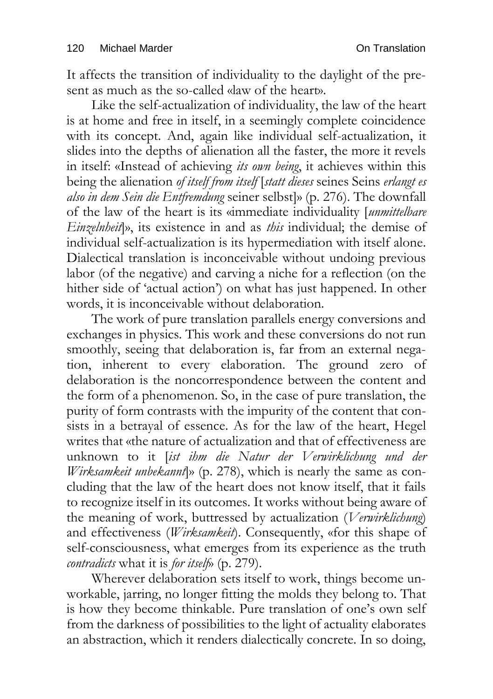It affects the transition of individuality to the daylight of the present as much as the so-called «law of the heart».

Like the self-actualization of individuality, the law of the heart is at home and free in itself, in a seemingly complete coincidence with its concept. And, again like individual self-actualization, it slides into the depths of alienation all the faster, the more it revels in itself: «Instead of achieving *its own being*, it achieves within this being the alienation *of itself from itself* [*statt dieses* seines Seins *erlangt es also in dem Sein die Entfremdung* seiner selbst]» (p. 276). The downfall of the law of the heart is its «immediate individuality [*unmittelbare Einzelnheit*]», its existence in and as *this* individual; the demise of individual self-actualization is its hypermediation with itself alone. Dialectical translation is inconceivable without undoing previous labor (of the negative) and carving a niche for a reflection (on the hither side of 'actual action') on what has just happened. In other words, it is inconceivable without delaboration.

The work of pure translation parallels energy conversions and exchanges in physics. This work and these conversions do not run smoothly, seeing that delaboration is, far from an external negation, inherent to every elaboration. The ground zero of delaboration is the noncorrespondence between the content and the form of a phenomenon. So, in the case of pure translation, the purity of form contrasts with the impurity of the content that consists in a betrayal of essence. As for the law of the heart, Hegel writes that «the nature of actualization and that of effectiveness are unknown to it [*ist ihm die Natur der Verwirklichung und der Wirksamkeit unbekannt*]» (p. 278), which is nearly the same as concluding that the law of the heart does not know itself, that it fails to recognize itself in its outcomes. It works without being aware of the meaning of work, buttressed by actualization (*Verwirklichung*) and effectiveness (*Wirksamkeit*). Consequently, «for this shape of self-consciousness, what emerges from its experience as the truth *contradicts* what it is *for itself*» (p. 279).

Wherever delaboration sets itself to work, things become unworkable, jarring, no longer fitting the molds they belong to. That is how they become thinkable. Pure translation of one's own self from the darkness of possibilities to the light of actuality elaborates an abstraction, which it renders dialectically concrete. In so doing,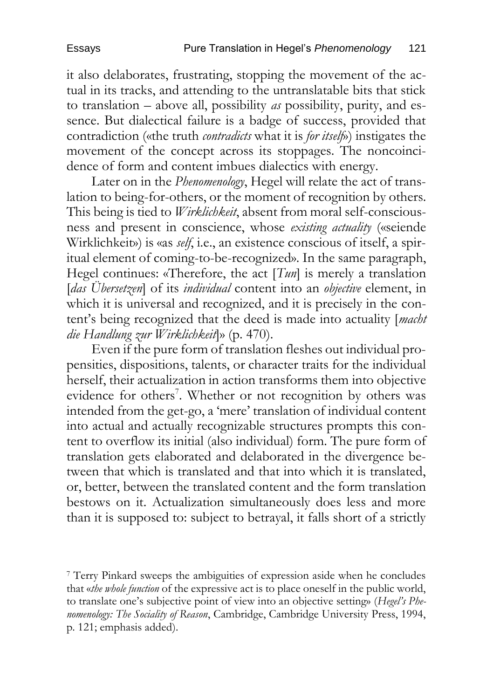it also delaborates, frustrating, stopping the movement of the actual in its tracks, and attending to the untranslatable bits that stick to translation – above all, possibility *as* possibility, purity, and essence. But dialectical failure is a badge of success, provided that contradiction («the truth *contradicts* what it is *for itself*») instigates the movement of the concept across its stoppages. The noncoincidence of form and content imbues dialectics with energy.

Later on in the *Phenomenology*, Hegel will relate the act of translation to being-for-others, or the moment of recognition by others. This being is tied to *Wirklichkeit*, absent from moral self-consciousness and present in conscience, whose *existing actuality* («seiende Wirklichkeit») is «as *self*, i.e., an existence conscious of itself, a spiritual element of coming-to-be-recognized». In the same paragraph, Hegel continues: «Therefore, the act [*Tun*] is merely a translation [*das Übersetzen*] of its *individual* content into an *objective* element, in which it is universal and recognized, and it is precisely in the content's being recognized that the deed is made into actuality [*macht die Handlung zur Wirklichkeit*]» (p. 470).

Even if the pure form of translation fleshes out individual propensities, dispositions, talents, or character traits for the individual herself, their actualization in action transforms them into objective evidence for others<sup>7</sup>. Whether or not recognition by others was intended from the get-go, a 'mere' translation of individual content into actual and actually recognizable structures prompts this content to overflow its initial (also individual) form. The pure form of translation gets elaborated and delaborated in the divergence between that which is translated and that into which it is translated, or, better, between the translated content and the form translation bestows on it. Actualization simultaneously does less and more than it is supposed to: subject to betrayal, it falls short of a strictly

<sup>7</sup> Terry Pinkard sweeps the ambiguities of expression aside when he concludes that «*the whole function* of the expressive act is to place oneself in the public world, to translate one's subjective point of view into an objective setting» (*Hegel's Phenomenology: The Sociality of Reason*, Cambridge, Cambridge University Press, 1994, p. 121; emphasis added).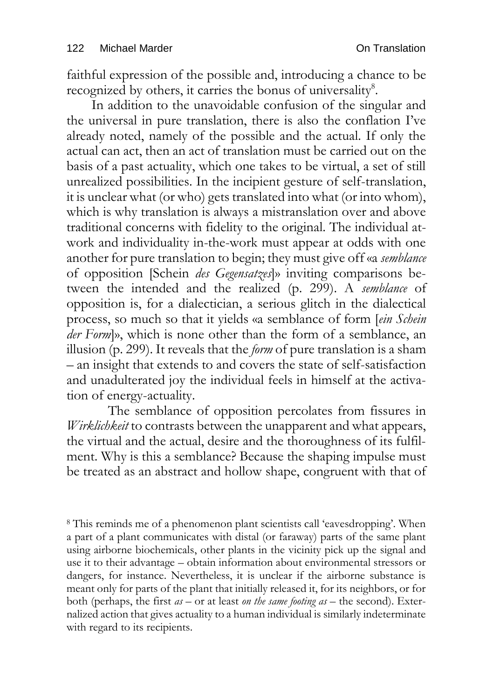faithful expression of the possible and, introducing a chance to be recognized by others, it carries the bonus of universality<sup>8</sup>.

In addition to the unavoidable confusion of the singular and the universal in pure translation, there is also the conflation I've already noted, namely of the possible and the actual. If only the actual can act, then an act of translation must be carried out on the basis of a past actuality, which one takes to be virtual, a set of still unrealized possibilities. In the incipient gesture of self-translation, it is unclear what (or who) gets translated into what (or into whom), which is why translation is always a mistranslation over and above traditional concerns with fidelity to the original. The individual atwork and individuality in-the-work must appear at odds with one another for pure translation to begin; they must give off «a *semblance* of opposition [Schein *des Gegensatzes*]» inviting comparisons between the intended and the realized (p. 299). A *semblance* of opposition is, for a dialectician, a serious glitch in the dialectical process, so much so that it yields «a semblance of form [*ein Schein der Form*]», which is none other than the form of a semblance, an illusion (p. 299). It reveals that the *form* of pure translation is a sham – an insight that extends to and covers the state of self-satisfaction and unadulterated joy the individual feels in himself at the activation of energy-actuality.

The semblance of opposition percolates from fissures in *Wirklichkeit* to contrasts between the unapparent and what appears, the virtual and the actual, desire and the thoroughness of its fulfilment. Why is this a semblance? Because the shaping impulse must be treated as an abstract and hollow shape, congruent with that of

<sup>8</sup> This reminds me of a phenomenon plant scientists call 'eavesdropping'. When a part of a plant communicates with distal (or faraway) parts of the same plant using airborne biochemicals, other plants in the vicinity pick up the signal and use it to their advantage – obtain information about environmental stressors or dangers, for instance. Nevertheless, it is unclear if the airborne substance is meant only for parts of the plant that initially released it, for its neighbors, or for both (perhaps, the first *as –* or at least *on the same footing as* – the second). Externalized action that gives actuality to a human individual is similarly indeterminate with regard to its recipients.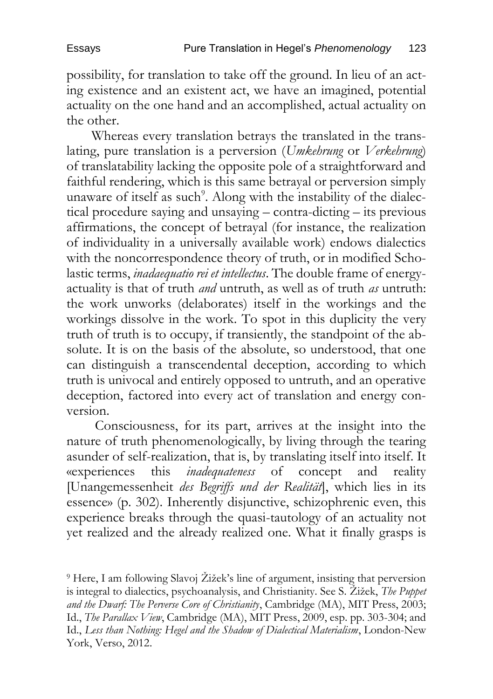possibility, for translation to take off the ground. In lieu of an acting existence and an existent act, we have an imagined, potential actuality on the one hand and an accomplished, actual actuality on the other.

Whereas every translation betrays the translated in the translating, pure translation is a perversion (*Umkehrung* or *Verkehrung*) of translatability lacking the opposite pole of a straightforward and faithful rendering, which is this same betrayal or perversion simply unaware of itself as such<sup>9</sup>. Along with the instability of the dialectical procedure saying and unsaying – contra-dicting – its previous affirmations, the concept of betrayal (for instance, the realization of individuality in a universally available work) endows dialectics with the noncorrespondence theory of truth, or in modified Scholastic terms, *inadaequatio rei et intellectus*. The double frame of energyactuality is that of truth *and* untruth, as well as of truth *as* untruth: the work unworks (delaborates) itself in the workings and the workings dissolve in the work. To spot in this duplicity the very truth of truth is to occupy, if transiently, the standpoint of the absolute. It is on the basis of the absolute, so understood, that one can distinguish a transcendental deception, according to which truth is univocal and entirely opposed to untruth, and an operative deception, factored into every act of translation and energy conversion.

Consciousness, for its part, arrives at the insight into the nature of truth phenomenologically, by living through the tearing asunder of self-realization, that is, by translating itself into itself. It wexperiences this *inadequateness* of concept and reality «experiences this *inadequateness* of concept and reality [Unangemessenheit *des Begriffs und der Realität*], which lies in its essence» (p. 302). Inherently disjunctive, schizophrenic even, this experience breaks through the quasi-tautology of an actuality not yet realized and the already realized one. What it finally grasps is

<sup>9</sup> Here, I am following Slavoj Žižek's line of argument, insisting that perversion is integral to dialectics, psychoanalysis, and Christianity. See S. Žižek, *The Puppet and the Dwarf: The Perverse Core of Christianity*, Cambridge (MA), MIT Press, 2003; Id., *The Parallax View*, Cambridge (MA), MIT Press, 2009, esp. pp. 303-304; and Id., *Less than Nothing: Hegel and the Shadow of Dialectical Materialism*, London-New York, Verso, 2012.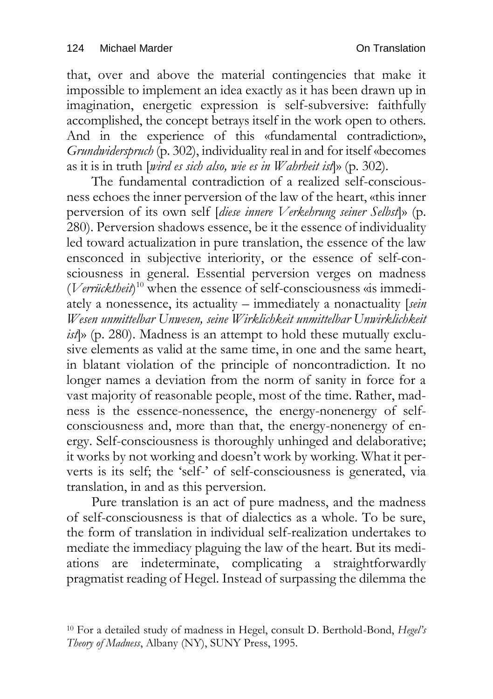that, over and above the material contingencies that make it impossible to implement an idea exactly as it has been drawn up in imagination, energetic expression is self-subversive: faithfully accomplished, the concept betrays itself in the work open to others. And in the experience of this «fundamental contradiction», *Grundwiderspruch* (p. 302), individuality real in and for itself «becomes as it is in truth [*wird es sich also, wie es in Wahrheit ist*]» (p. 302).

The fundamental contradiction of a realized self-consciousness echoes the inner perversion of the law of the heart, «this inner perversion of its own self [*diese innere Verkehrung seiner Selbst*]» (p. 280). Perversion shadows essence, be it the essence of individuality led toward actualization in pure translation, the essence of the law ensconced in subjective interiority, or the essence of self-consciousness in general. Essential perversion verges on madness (*Verrücktheit*) <sup>10</sup> when the essence of self-consciousness «is immediately a nonessence, its actuality – immediately a nonactuality [*sein Wesen unmittelbar Unwesen, seine Wirklichkeit unmittelbar Unwirklichkeit ist*]» (p. 280). Madness is an attempt to hold these mutually exclusive elements as valid at the same time, in one and the same heart, in blatant violation of the principle of noncontradiction. It no longer names a deviation from the norm of sanity in force for a vast majority of reasonable people, most of the time. Rather, madness is the essence-nonessence, the energy-nonenergy of selfconsciousness and, more than that, the energy-nonenergy of energy. Self-consciousness is thoroughly unhinged and delaborative; it works by not working and doesn't work by working. What it perverts is its self; the 'self-' of self-consciousness is generated, via translation, in and as this perversion.

Pure translation is an act of pure madness, and the madness of self-consciousness is that of dialectics as a whole. To be sure, the form of translation in individual self-realization undertakes to mediate the immediacy plaguing the law of the heart. But its mediations are indeterminate, complicating a straightforwardly pragmatist reading of Hegel. Instead of surpassing the dilemma the

<sup>10</sup> For a detailed study of madness in Hegel, consult D. Berthold-Bond, *Hegel's Theory of Madness*, Albany (NY), SUNY Press, 1995.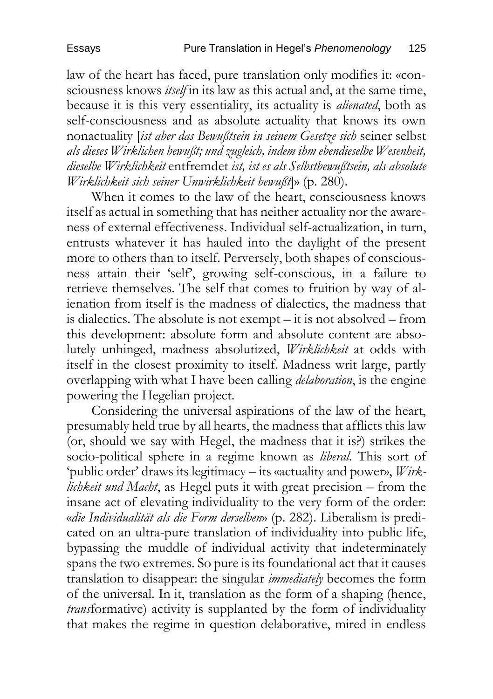law of the heart has faced, pure translation only modifies it: «consciousness knows *itself* in its law as this actual and, at the same time, because it is this very essentiality, its actuality is *alienated*, both as self-consciousness and as absolute actuality that knows its own nonactuality [*ist aber das Bewußtsein in seinem Gesetze sich* seiner selbst *als dieses Wirklichen bewußt; und zugleich, indem ihm ebendieselbe Wesenheit, dieselbe Wirklichkeit* entfremdet *ist, ist es als Selbstbewußtsein, als absolute Wirklichkeit sich seiner Unwirklichkeit bewußt*]» (p. 280).

When it comes to the law of the heart, consciousness knows itself as actual in something that has neither actuality nor the awareness of external effectiveness. Individual self-actualization, in turn, entrusts whatever it has hauled into the daylight of the present more to others than to itself. Perversely, both shapes of consciousness attain their 'self', growing self-conscious, in a failure to retrieve themselves. The self that comes to fruition by way of alienation from itself is the madness of dialectics, the madness that is dialectics. The absolute is not exempt – it is not absolved – from this development: absolute form and absolute content are absolutely unhinged, madness absolutized, *Wirklichkeit* at odds with itself in the closest proximity to itself. Madness writ large, partly overlapping with what I have been calling *delaboration*, is the engine powering the Hegelian project.

Considering the universal aspirations of the law of the heart, presumably held true by all hearts, the madness that afflicts this law (or, should we say with Hegel, the madness that it is?) strikes the socio-political sphere in a regime known as *liberal*. This sort of 'public order' draws its legitimacy – its «actuality and power», *Wirklichkeit und Macht*, as Hegel puts it with great precision – from the insane act of elevating individuality to the very form of the order: «*die Individualität als die Form derselben*» (p. 282). Liberalism is predicated on an ultra-pure translation of individuality into public life, bypassing the muddle of individual activity that indeterminately spans the two extremes. So pure is its foundational act that it causes translation to disappear: the singular *immediately* becomes the form of the universal. In it, translation as the form of a shaping (hence, *trans*formative) activity is supplanted by the form of individuality that makes the regime in question delaborative, mired in endless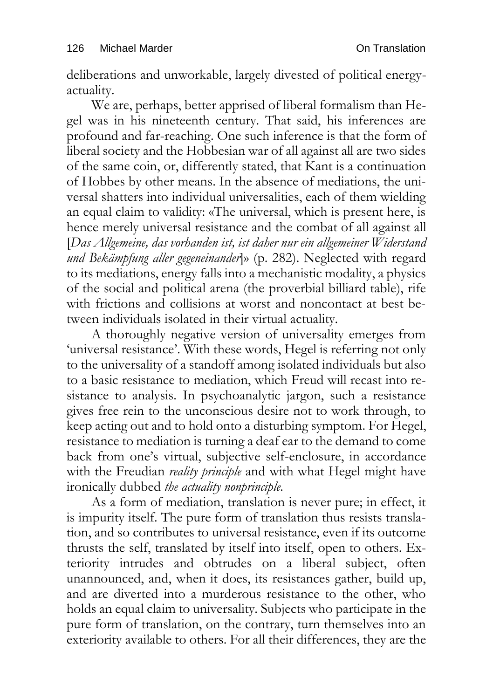deliberations and unworkable, largely divested of political energyactuality.

We are, perhaps, better apprised of liberal formalism than Hegel was in his nineteenth century. That said, his inferences are profound and far-reaching. One such inference is that the form of liberal society and the Hobbesian war of all against all are two sides of the same coin, or, differently stated, that Kant is a continuation of Hobbes by other means. In the absence of mediations, the universal shatters into individual universalities, each of them wielding an equal claim to validity: «The universal, which is present here, is hence merely universal resistance and the combat of all against all [*Das Allgemeine, das vorhanden ist, ist daher nur ein allgemeiner Widerstand und Bekämpfung aller gegeneinander*]» (p. 282). Neglected with regard to its mediations, energy falls into a mechanistic modality, a physics of the social and political arena (the proverbial billiard table), rife with frictions and collisions at worst and noncontact at best between individuals isolated in their virtual actuality.

A thoroughly negative version of universality emerges from 'universal resistance'. With these words, Hegel is referring not only to the universality of a standoff among isolated individuals but also to a basic resistance to mediation, which Freud will recast into resistance to analysis. In psychoanalytic jargon, such a resistance gives free rein to the unconscious desire not to work through, to keep acting out and to hold onto a disturbing symptom. For Hegel, resistance to mediation is turning a deaf ear to the demand to come back from one's virtual, subjective self-enclosure, in accordance with the Freudian *reality principle* and with what Hegel might have ironically dubbed *the actuality nonprinciple.*

As a form of mediation, translation is never pure; in effect, it is impurity itself. The pure form of translation thus resists translation, and so contributes to universal resistance, even if its outcome thrusts the self, translated by itself into itself, open to others. Exteriority intrudes and obtrudes on a liberal subject, often unannounced, and, when it does, its resistances gather, build up, and are diverted into a murderous resistance to the other, who holds an equal claim to universality. Subjects who participate in the pure form of translation, on the contrary, turn themselves into an exteriority available to others. For all their differences, they are the